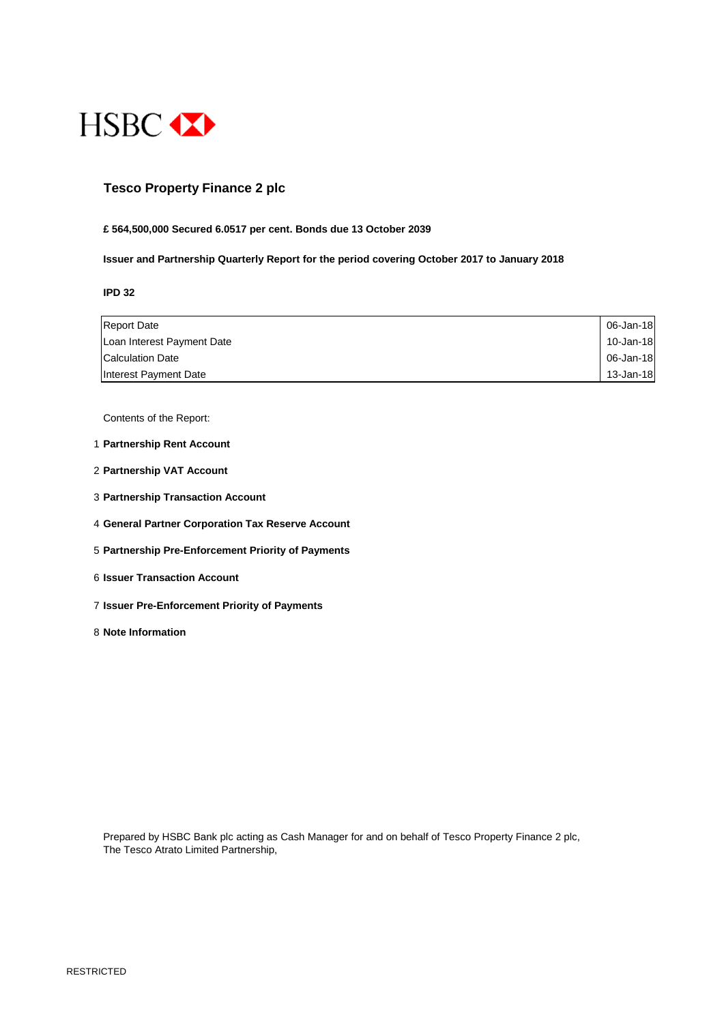

## **Tesco Property Finance 2 plc**

#### **£ 564,500,000 Secured 6.0517 per cent. Bonds due 13 October 2039**

#### **Issuer and Partnership Quarterly Report for the period covering October 2017 to January 2018**

**IPD 32**

| <b>Report Date</b>         | 06-Jan-18 |
|----------------------------|-----------|
| Loan Interest Payment Date | 10-Jan-18 |
| <b>Calculation Date</b>    | 06-Jan-18 |
| Interest Payment Date      | 13-Jan-18 |

Contents of the Report:

- 1 **Partnership Rent Account**
- 2 **Partnership VAT Account**
- 3 **Partnership Transaction Account**
- 4 **General Partner Corporation Tax Reserve Account**
- 5 **Partnership Pre-Enforcement Priority of Payments**
- 6 **Issuer Transaction Account**
- 7 **Issuer Pre-Enforcement Priority of Payments**
- 8 **Note Information**

Prepared by HSBC Bank plc acting as Cash Manager for and on behalf of Tesco Property Finance 2 plc, The Tesco Atrato Limited Partnership,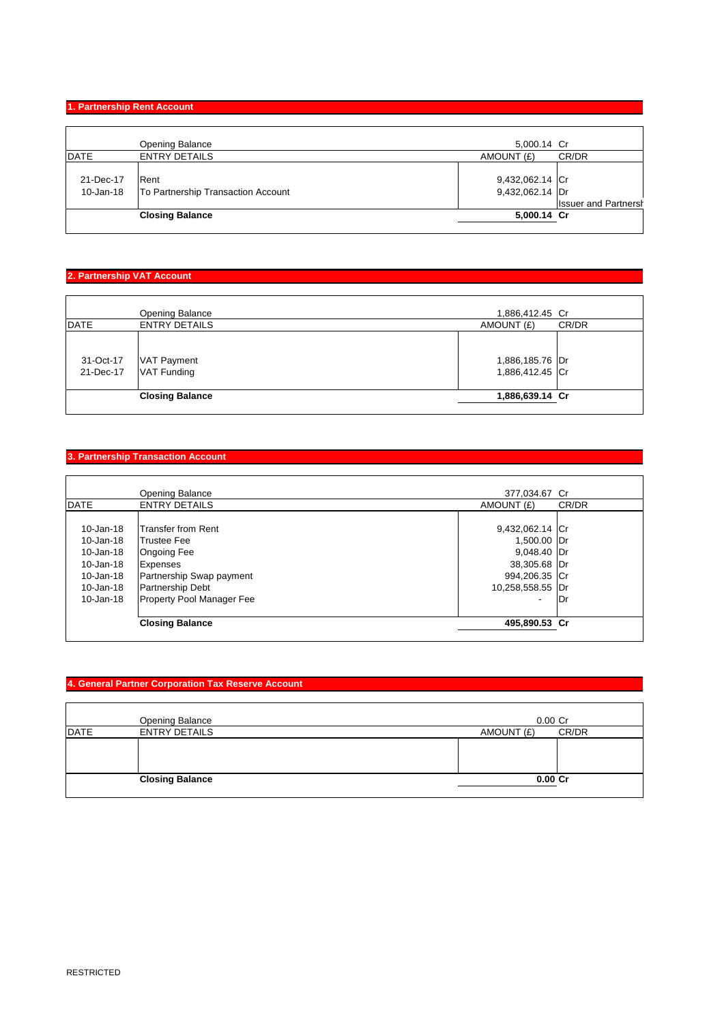### **1. Partnership Rent Account**

|                        | <b>Opening Balance</b>                     | 5,000.14 Cr                        |                             |
|------------------------|--------------------------------------------|------------------------------------|-----------------------------|
| DATE                   | <b>ENTRY DETAILS</b>                       | AMOUNT (£)                         | CR/DR                       |
| 21-Dec-17<br>10-Jan-18 | Rent<br>To Partnership Transaction Account | 9,432,062.14 Cr<br>9,432,062.14 Dr | <b>Issuer and Partnersh</b> |
|                        | <b>Closing Balance</b>                     | 5,000.14 Cr                        |                             |
|                        |                                            |                                    |                             |

### **2. Partnership VAT Account**

|                        | <b>Opening Balance</b>                   | 1,886,412.45 Cr                    |       |
|------------------------|------------------------------------------|------------------------------------|-------|
| <b>DATE</b>            | <b>ENTRY DETAILS</b>                     | AMOUNT (£)                         | CR/DR |
| 31-Oct-17<br>21-Dec-17 | <b>VAT Payment</b><br><b>VAT Funding</b> | 1,886,185.76 Dr<br>1,886,412.45 Cr |       |
|                        | <b>Closing Balance</b>                   | 1,886,639.14 Cr                    |       |
|                        |                                          |                                    |       |

### **3. Partnership Transaction Account**

|               | <b>Opening Balance</b>           | 377,034.67 Cr    |       |
|---------------|----------------------------------|------------------|-------|
| <b>DATE</b>   | <b>ENTRY DETAILS</b>             | AMOUNT (£)       | CR/DR |
|               |                                  |                  |       |
| $10 - Jan-18$ | <b>Transfer from Rent</b>        | 9,432,062.14 Cr  |       |
| 10-Jan-18     | <b>Trustee Fee</b>               | 1,500.00 Dr      |       |
| $10 - Jan-18$ | <b>Ongoing Fee</b>               | 9,048.40 Dr      |       |
| 10-Jan-18     | Expenses                         | 38,305.68 Dr     |       |
| 10-Jan-18     | Partnership Swap payment         | 994,206.35 Cr    |       |
| 10-Jan-18     | Partnership Debt                 | 10,258,558.55 Dr |       |
| $10 - Jan-18$ | <b>Property Pool Manager Fee</b> | ۰                | lDr   |
|               | <b>Closing Balance</b>           | 495,890.53 Cr    |       |

### **4. General Partner Corporation Tax Reserve Account**

|             | Opening Balance        | $0.00$ Cr  |       |
|-------------|------------------------|------------|-------|
| <b>DATE</b> | <b>ENTRY DETAILS</b>   | AMOUNT (£) | CR/DR |
|             |                        |            |       |
|             | <b>Closing Balance</b> | $0.00C$ r  |       |
|             |                        |            |       |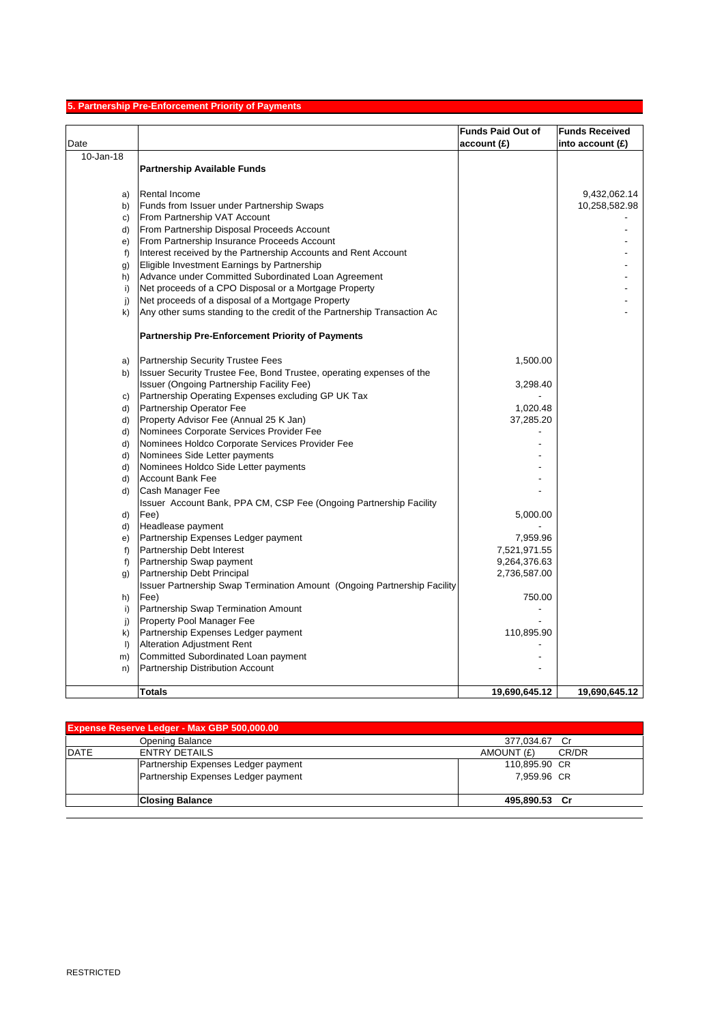# **5. Partnership Pre-Enforcement Priority of Payments**

|              |                                                                                 | <b>Funds Paid Out of</b> | <b>Funds Received</b> |
|--------------|---------------------------------------------------------------------------------|--------------------------|-----------------------|
| Date         |                                                                                 | account(E)               | into account $(E)$    |
| 10-Jan-18    |                                                                                 |                          |                       |
|              | <b>Partnership Available Funds</b>                                              |                          |                       |
|              |                                                                                 |                          |                       |
| a)           | <b>Rental Income</b>                                                            |                          | 9,432,062.14          |
| b)           | Funds from Issuer under Partnership Swaps                                       |                          | 10,258,582.98         |
| C)           | From Partnership VAT Account                                                    |                          |                       |
| d)           | From Partnership Disposal Proceeds Account                                      |                          |                       |
| e)           | From Partnership Insurance Proceeds Account                                     |                          |                       |
| f            | Interest received by the Partnership Accounts and Rent Account                  |                          |                       |
| g)           | Eligible Investment Earnings by Partnership                                     |                          |                       |
| h)           | Advance under Committed Subordinated Loan Agreement                             |                          |                       |
| i)           | Net proceeds of a CPO Disposal or a Mortgage Property                           |                          |                       |
| j)           | Net proceeds of a disposal of a Mortgage Property                               |                          |                       |
| k)           | Any other sums standing to the credit of the Partnership Transaction Ac         |                          |                       |
|              | <b>Partnership Pre-Enforcement Priority of Payments</b>                         |                          |                       |
|              |                                                                                 |                          |                       |
| a)           | Partnership Security Trustee Fees                                               | 1,500.00                 |                       |
| b)           | Issuer Security Trustee Fee, Bond Trustee, operating expenses of the            |                          |                       |
|              | Issuer (Ongoing Partnership Facility Fee)                                       | 3,298.40                 |                       |
| C)           | Partnership Operating Expenses excluding GP UK Tax                              | 1,020.48                 |                       |
| d)           | Partnership Operator Fee<br>Property Advisor Fee (Annual 25 K Jan)              |                          |                       |
| d)<br>d)     | Nominees Corporate Services Provider Fee                                        | 37,285.20                |                       |
| d)           | Nominees Holdco Corporate Services Provider Fee                                 |                          |                       |
| d)           | Nominees Side Letter payments                                                   |                          |                       |
| d)           | Nominees Holdco Side Letter payments                                            |                          |                       |
| d)           | <b>Account Bank Fee</b>                                                         |                          |                       |
| d)           | Cash Manager Fee                                                                |                          |                       |
|              | Issuer Account Bank, PPA CM, CSP Fee (Ongoing Partnership Facility              |                          |                       |
| d)           | Fee)                                                                            | 5,000.00                 |                       |
| d)           | Headlease payment                                                               |                          |                       |
| e)           | Partnership Expenses Ledger payment                                             | 7,959.96                 |                       |
| f            | Partnership Debt Interest                                                       | 7,521,971.55             |                       |
| f)           | Partnership Swap payment                                                        | 9,264,376.63             |                       |
| $\mathbf{g}$ | Partnership Debt Principal                                                      | 2,736,587.00             |                       |
|              | <b>Issuer Partnership Swap Termination Amount (Ongoing Partnership Facility</b> |                          |                       |
| h)           | Fee)                                                                            | 750.00                   |                       |
| i)           | Partnership Swap Termination Amount                                             |                          |                       |
| j)           | Property Pool Manager Fee                                                       |                          |                       |
| k)           | Partnership Expenses Ledger payment                                             | 110,895.90               |                       |
| $\vert$      | <b>Alteration Adjustment Rent</b>                                               |                          |                       |
| m)           | Committed Subordinated Loan payment                                             |                          |                       |
| n)           | Partnership Distribution Account                                                |                          |                       |
|              | <b>Totals</b>                                                                   | 19,690,645.12            | 19,690,645.12         |
|              |                                                                                 |                          |                       |

| <b>Expense Reserve Ledger - Max GBP 500,000.00</b> |                                     |                     |  |
|----------------------------------------------------|-------------------------------------|---------------------|--|
|                                                    | Opening Balance                     | 377.034.67 Cr       |  |
| <b>DATE</b>                                        | <b>ENTRY DETAILS</b>                | AMOUNT (£)<br>CR/DR |  |
|                                                    | Partnership Expenses Ledger payment | 110,895.90 CR       |  |
|                                                    | Partnership Expenses Ledger payment | 7.959.96 CR         |  |
|                                                    | <b>Closing Balance</b>              | 495,890.53 Cr       |  |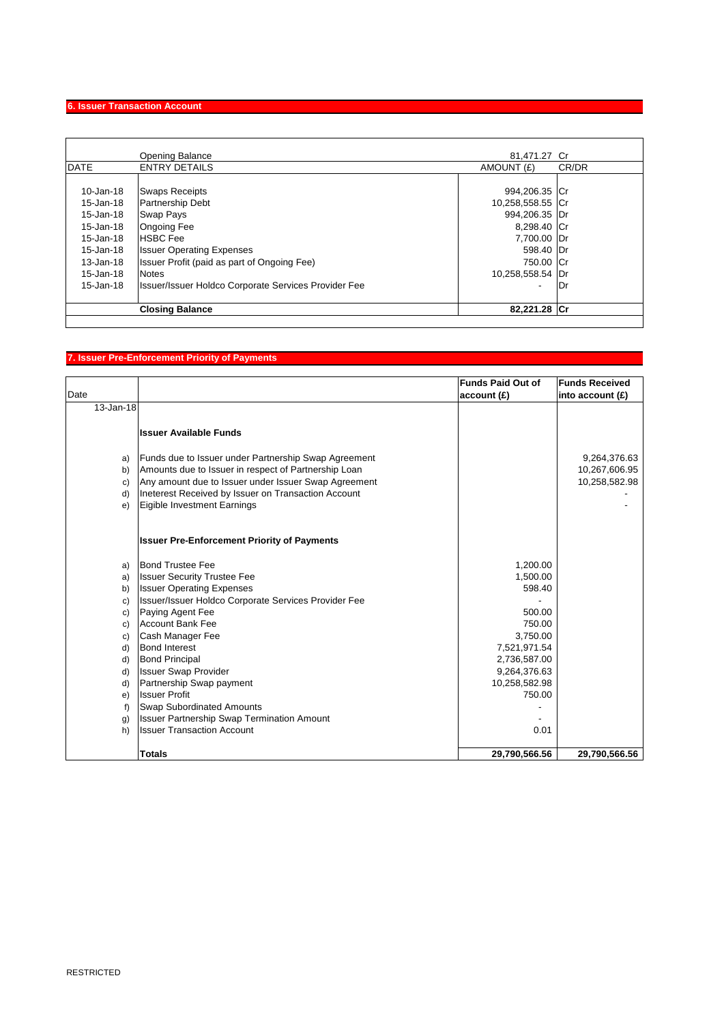# **6. Issuer Transaction Account**

|               | Opening Balance                                      | 81,471.27 Cr     |       |
|---------------|------------------------------------------------------|------------------|-------|
| <b>DATE</b>   | <b>ENTRY DETAILS</b>                                 | AMOUNT (£)       | CR/DR |
|               |                                                      |                  |       |
| 10-Jan-18     | <b>Swaps Receipts</b>                                | 994,206.35 Cr    |       |
| 15-Jan-18     | <b>Partnership Debt</b>                              | 10,258,558.55 Cr |       |
| 15-Jan-18     | Swap Pays                                            | 994,206.35 Dr    |       |
| 15-Jan-18     | <b>Ongoing Fee</b>                                   | 8,298.40 Cr      |       |
| 15-Jan-18     | <b>HSBC</b> Fee                                      | 7,700.00 Dr      |       |
| 15-Jan-18     | <b>Issuer Operating Expenses</b>                     | 598.40 Dr        |       |
| $13 - Jan-18$ | Issuer Profit (paid as part of Ongoing Fee)          | 750.00 Cr        |       |
| 15-Jan-18     | <b>Notes</b>                                         | 10,258,558.54 Dr |       |
| 15-Jan-18     | Issuer/Issuer Holdco Corporate Services Provider Fee | ٠                | Dr    |
|               | <b>Closing Balance</b>                               | 82,221.28 Cr     |       |

# **7. Issuer Pre-Enforcement Priority of Payments**

|           |                                                      | <b>Funds Paid Out of</b> | <b>Funds Received</b> |
|-----------|------------------------------------------------------|--------------------------|-----------------------|
| Date      |                                                      | account (£)              | into account (£)      |
| 13-Jan-18 |                                                      |                          |                       |
|           |                                                      |                          |                       |
|           | <b>Issuer Available Funds</b>                        |                          |                       |
|           |                                                      |                          |                       |
| a)        | Funds due to Issuer under Partnership Swap Agreement |                          | 9,264,376.63          |
| b)        | Amounts due to Issuer in respect of Partnership Loan |                          | 10,267,606.95         |
| c)        | Any amount due to Issuer under Issuer Swap Agreement |                          | 10,258,582.98         |
| d)        | Ineterest Received by Issuer on Transaction Account  |                          |                       |
| e)        | Eigible Investment Earnings                          |                          |                       |
|           |                                                      |                          |                       |
|           |                                                      |                          |                       |
|           | <b>Issuer Pre-Enforcement Priority of Payments</b>   |                          |                       |
| a)        | <b>Bond Trustee Fee</b>                              | 1,200.00                 |                       |
| a)        | <b>Issuer Security Trustee Fee</b>                   | 1,500.00                 |                       |
| b)        | <b>Issuer Operating Expenses</b>                     | 598.40                   |                       |
| c)        | Issuer/Issuer Holdco Corporate Services Provider Fee |                          |                       |
| C)        | Paying Agent Fee                                     | 500.00                   |                       |
| C)        | <b>Account Bank Fee</b>                              | 750.00                   |                       |
| C)        | Cash Manager Fee                                     | 3,750.00                 |                       |
| d)        | <b>Bond Interest</b>                                 | 7,521,971.54             |                       |
| d)        | <b>Bond Principal</b>                                | 2,736,587.00             |                       |
| d)        | <b>Issuer Swap Provider</b>                          | 9,264,376.63             |                       |
| d)        | Partnership Swap payment                             | 10,258,582.98            |                       |
| e)        | <b>Issuer Profit</b>                                 | 750.00                   |                       |
| f)        | <b>Swap Subordinated Amounts</b>                     |                          |                       |
| g)        | <b>Issuer Partnership Swap Termination Amount</b>    |                          |                       |
| h)        | <b>Issuer Transaction Account</b>                    | 0.01                     |                       |
|           |                                                      |                          |                       |
|           | <b>Totals</b>                                        | 29,790,566.56            | 29,790,566.56         |